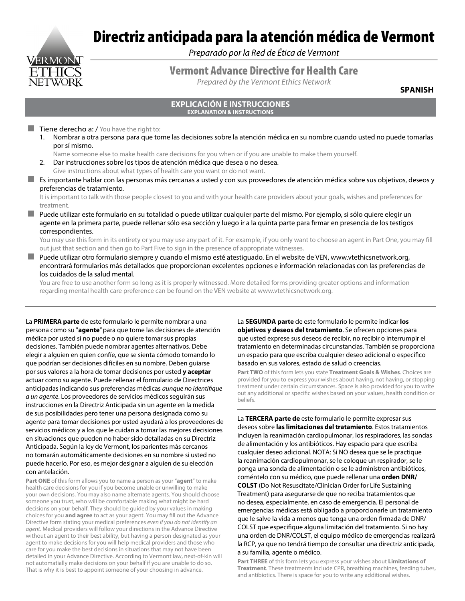# VERMONT

## Directriz anticipada para la atención médica de Vermont

*Preparado por la Red de Ética de Vermont*

#### Vermont Advance Directive for Health Care

*Prepared by the Vermont Ethics Network*

**SPANISH**

#### **EXPLICACIÓN E INSTRUCCIONES EXPLANATION & INSTRUCTIONS**

#### $\blacksquare$  Tiene derecho a: / You have the right to:

1. Nombrar a otra persona para que tome las decisiones sobre la atención médica en su nombre cuando usted no puede tomarlas por sí mismo.

Name someone else to make health care decisions for you when or if you are unable to make them yourself.

- 2. Dar instrucciones sobre los tipos de atención médica que desea o no desea.
- Give instructions about what types of health care you want or do not want.
- Es importante hablar con las personas más cercanas a usted y con sus proveedores de atención médica sobre sus objetivos, deseos y preferencias de tratamiento.

It is important to talk with those people closest to you and with your health care providers about your goals, wishes and preferences for treatment.

 Puede utilizar este formulario en su totalidad o puede utilizar cualquier parte del mismo. Por ejemplo, si sólo quiere elegir un agente en la primera parte, puede rellenar sólo esa sección y luego ir a la quinta parte para firmar en presencia de los testigos correspondientes.

You may use this form in its entirety or you may use any part of it. For example, if you only want to choose an agent in Part One, you may fill out just that section and then go to Part Five to sign in the presence of appropriate witnesses.

 Puede utilizar otro formulario siempre y cuando el mismo esté atestiguado. En el website de VEN, www.vtethicsnetwork.org, encontrará formularios más detallados que proporcionan excelentes opciones e información relacionadas con las preferencias de los cuidados de la salud mental.

You are free to use another form so long as it is properly witnessed. More detailed forms providing greater options and information regarding mental health care preference can be found on the VEN website at www.vtethicsnetwork.org.

La **PRIMERA parte** de este formulario le permite nombrar a una persona como su "**agente**" para que tome las decisiones de atención médica por usted si no puede o no quiere tomar sus propias decisiones. También puede nombrar agentes alternativos. Debe elegir a alguien en quien confíe, que se sienta cómodo tomando lo que podrían ser decisiones difíciles en su nombre. Deben guiarse por sus valores a la hora de tomar decisiones por usted **y aceptar** actuar como su agente. Puede rellenar el formulario de Directrices anticipadas indicando sus preferencias médicas *aunque no identifique a un agente*. Los proveedores de servicios médicos seguirán sus instrucciones en la Directriz Anticipada sin un agente en la medida de sus posibilidades pero tener una persona designada como su agente para tomar decisiones por usted ayudará a los proveedores de servicios médicos y a los que le cuidan a tomar las mejores decisiones en situaciones que pueden no haber sido detalladas en su Directriz Anticipada. Según la ley de Vermont, los parientes más cercanos no tomarán automáticamente decisiones en su nombre si usted no puede hacerlo. Por eso, es mejor designar a alguien de su elección con antelación.

**Part ONE** of this form allows you to name a person as your "**agent**" to make health care decisions for you if you become unable or unwilling to make your own decisions. You may also name alternate agents. You should choose someone you trust, who will be comfortable making what might be hard decisions on your behalf. They should be guided by your values in making choices for you **and agree** to act as your agent. You may fill out the Advance Directive form stating your medical preferences *even if you do not identify an agent*. Medical providers will follow your directions in the Advance Directive without an agent to their best ability, but having a person designated as your agent to make decisions for you will help medical providers and those who care for you make the best decisions in situations that may not have been detailed in your Advance Directive. According to Vermont law, next-of-kin will not automatially make decisions on your behalf if you are unable to do so. That is why it is best to appoint someone of your choosing in advance.

La **SEGUNDA parte** de este formulario le permite indicar **los objetivos y deseos del tratamiento**. Se ofrecen opciones para que usted exprese sus deseos de recibir, no recibir o interrumpir el tratamiento en determinadas circunstancias. También se proporciona un espacio para que escriba cualquier deseo adicional o específico basado en sus valores, estado de salud o creencias.

**Part TWO** of this form lets you state **Treatment Goals & Wishes**. Choices are provided for you to express your wishes about having, not having, or stopping treatment under certain circumstances. Space is also provided for you to write out any additional or specific wishes based on your values, health condition or beliefs.

La **TERCERA parte de** este formulario le permite expresar sus deseos sobre **las limitaciones del tratamiento**. Estos tratamientos incluyen la reanimación cardiopulmonar, los respiradores, las sondas de alimentación y los antibióticos. Hay espacio para que escriba cualquier deseo adicional. NOTA: Si NO desea que se le practique la reanimación cardiopulmonar, se le coloque un respirador, se le ponga una sonda de alimentación o se le administren antibióticos, coméntelo con su médico, que puede rellenar una **orden DNR/ COLST** (Do Not Resuscitate/Clinician Order for Life Sustaining Treatment) para asegurarse de que no reciba tratamientos que no desea, especialmente, en caso de emergencia. El personal de emergencias médicas está obligado a proporcionarle un tratamiento que le salve la vida a menos que tenga una orden firmada de DNR/ COLST que especifique alguna limitación del tratamiento. Si no hay una orden de DNR/COLST, el equipo médico de emergencias realizará la RCP, ya que no tendrá tiempo de consultar una directriz anticipada, a su familia, agente o médico.

**Part THREE** of this form lets you express your wishes about **Limitations of Treatment**. These treatments include CPR, breathing machines, feeding tubes, and antibiotics. There is space for you to write any additional wishes.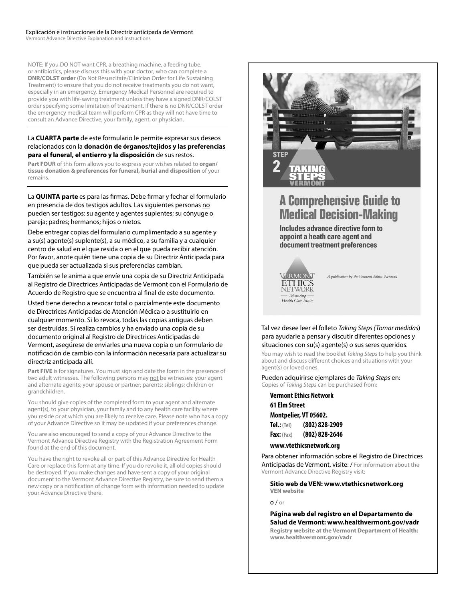NOTE: If you DO NOT want CPR, a breathing machine, a feeding tube, or antibiotics, please discuss this with your doctor, who can complete a **DNR/COLST order** (Do Not Resuscitate/Clinician Order for Life Sustaining Treatment) to ensure that you do not receive treatments you do not want, especially in an emergency. Emergency Medical Personnel are required to provide you with life-saving treatment unless they have a signed DNR/COLST order specifying some limitation of treatment. If there is no DNR/COLST order the emergency medical team will perform CPR as they will not have time to consult an Advance Directive, your family, agent, or physician.

#### La **CUARTA parte** de este formulario le permite expresar sus deseos relacionados con la **donación de órganos/tejidos y las preferencias para el funeral, el entierro y la disposición** de sus restos.

**Part FOUR** of this form allows you to express your wishes related to **organ/ tissue donation & preferences for funeral, burial and disposition** of your remains.

La **QUINTA parte** es para las firmas. Debe firmar y fechar el formulario en presencia de dos testigos adultos. Las siguientes personas no pueden ser testigos: su agente y agentes suplentes; su cónyuge o pareja; padres; hermanos; hijos o nietos.

Debe entregar copias del formulario cumplimentado a su agente y a su(s) agente(s) suplente(s), a su médico, a su familia y a cualquier centro de salud en el que resida o en el que pueda recibir atención. Por favor, anote quién tiene una copia de su Directriz Anticipada para que pueda ser actualizada si sus preferencias cambian.

También se le anima a que envíe una copia de su Directriz Anticipada al Registro de Directrices Anticipadas de Vermont con el Formulario de Acuerdo de Registro que se encuentra al final de este documento.

Usted tiene derecho a revocar total o parcialmente este documento de Directrices Anticipadas de Atención Médica o a sustituirlo en cualquier momento. Si lo revoca, todas las copias antiguas deben ser destruidas. Si realiza cambios y ha enviado una copia de su documento original al Registro de Directrices Anticipadas de Vermont, asegúrese de enviarles una nueva copia o un formulario de notificación de cambio con la información necesaria para actualizar su directriz anticipada allí.

**Part FIVE** is for signatures. You must sign and date the form in the presence of two adult witnesses. The following persons may not be witnesses: your agent and alternate agents; your spouse or partner; parents; siblings; children or grandchildren.

You should give copies of the completed form to your agent and alternate agent(s), to your physician, your family and to any health care facility where you reside or at which you are likely to receive care. Please note who has a copy of your Advance Directive so it may be updated if your preferences change.

You are also encouraged to send a copy of your Advance Directive to the Vermont Advance Directive Registry with the Registration Agreement Form found at the end of this document.

You have the right to revoke all or part of this Advance Directive for Health Care or replace this form at any time. If you do revoke it, all old copies should be destroyed. If you make changes and have sent a copy of your original document to the Vermont Advance Directive Registry, be sure to send them a new copy or a notification of change form with information needed to update your Advance Directive there.



## **A Comprehensive Guide to Medical Decision-Making**

Includes advance directive form to appoint a heath care agent and document treatment preferences



A publication by the Vermont Ethics Network

#### Tal vez desee leer el folleto *Taking Steps (Tomar medidas*) para ayudarle a pensar y discutir diferentes opciones y situaciones con su(s) agente(s) o sus seres queridos.

You may wish to read the booklet *Taking Steps* to help you think about and discuss different choices and situations with your agent(s) or loved ones.

Pueden adquirirse ejemplares de *Taking Steps* en: Copies of *Taking Steps* can be purchased from:

**Vermont Ethics Network**

**61 Elm Street Montpelier, VT 05602. Tel.: (Tel) (802) 828-2909 Fax: (Fax) (802) 828-2646**

**www.vtethicsnetwork.org**

Para obtener información sobre el Registro de Directrices Anticipadas de Vermont, visite: / For information about the Vermont Advance Directive Registry visit:

**Sitio web de VEN: www.vtethicsnetwork.org VEN website**

#### o / or

**Página web del registro en el Departamento de Salud de Vermont: www.healthvermont.gov/vadr Registry website at the Vermont Department of Health: www.healthvermont.gov/vadr**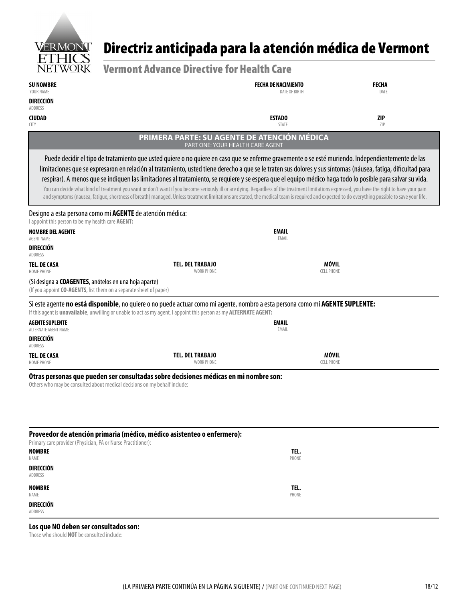

## Directriz anticipada para la atención médica de Vermont

| LITICO                                                        |                                                                                                                                                                                                                                                                                                                                                                                                |                                             |                      |
|---------------------------------------------------------------|------------------------------------------------------------------------------------------------------------------------------------------------------------------------------------------------------------------------------------------------------------------------------------------------------------------------------------------------------------------------------------------------|---------------------------------------------|----------------------|
| <b>NETWORK</b>                                                | <b>Vermont Advance Directive for Health Care</b>                                                                                                                                                                                                                                                                                                                                               |                                             |                      |
| <b>SU NOMBRE</b><br>YOUR NAME                                 |                                                                                                                                                                                                                                                                                                                                                                                                | <b>FECHA DE NACIMIENTO</b><br>DATE OF BIRTH | <b>FECHA</b><br>DATE |
| DIRECCIÓN<br>ADDRESS                                          |                                                                                                                                                                                                                                                                                                                                                                                                |                                             |                      |
| <b>CIUDAD</b>                                                 |                                                                                                                                                                                                                                                                                                                                                                                                | <b>ESTADO</b>                               | <b>ZIP</b>           |
| <b>CITY</b>                                                   |                                                                                                                                                                                                                                                                                                                                                                                                | <b>STATE</b>                                | ZIP                  |
|                                                               | PRIMERA PARTE: SU AGENTE DE ATENCIÓN MÉDICA<br>PART ONE: YOUR HEALTH CARE AGENT                                                                                                                                                                                                                                                                                                                |                                             |                      |
|                                                               | Puede decidir el tipo de tratamiento que usted quiere o no quiere en caso que se enferme gravemente o se esté muriendo. Independientemente de las                                                                                                                                                                                                                                              |                                             |                      |
|                                                               | limitaciones que se expresaron en relación al tratamiento, usted tiene derecho a que se le traten sus dolores y sus síntomas (náusea, fatiga, dificultad para                                                                                                                                                                                                                                  |                                             |                      |
|                                                               | respirar). A menos que se indiquen las limitaciones al tratamiento, se requiere y se espera que el equipo médico haga todo lo posible para salvar su vida.                                                                                                                                                                                                                                     |                                             |                      |
|                                                               | You can decide what kind of treatment you want or don't want if you become seriously ill or are dying. Regardless of the treatment limitations expressed, you have the right to have your pain<br>and symptoms (nausea, fatigue, shortness of breath) managed. Unless treatment limitations are stated, the medical team is required and expected to do everything possible to save your life. |                                             |                      |
|                                                               | Designo a esta persona como mi <b>AGENTE</b> de atención médica:                                                                                                                                                                                                                                                                                                                               |                                             |                      |
| I appoint this person to be my health care AGENT:             |                                                                                                                                                                                                                                                                                                                                                                                                |                                             |                      |
| <b>NOMBRE DEL AGENTE</b><br>AGENT NAME                        |                                                                                                                                                                                                                                                                                                                                                                                                | <b>EMAIL</b><br>EMAIL                       |                      |
| DIRECCIÓN<br>ADDRESS                                          |                                                                                                                                                                                                                                                                                                                                                                                                |                                             |                      |
| TEL. DE CASA<br><b>HOME PHONE</b>                             | <b>TEL. DEL TRABAJO</b><br><b>WORK PHONE</b>                                                                                                                                                                                                                                                                                                                                                   | MÓVIL<br><b>CELL PHONE</b>                  |                      |
| (Si designa a <b>COAGENTES</b> , anótelos en una hoja aparte) | (If you appoint CO-AGENTS, list them on a separate sheet of paper)                                                                                                                                                                                                                                                                                                                             |                                             |                      |
|                                                               | Si este agente no está disponible, no quiere o no puede actuar como mi agente, nombro a esta persona como mi AGENTE SUPLENTE:<br>If this agent is unavailable, unwilling or unable to act as my agent, I appoint this person as my ALTERNATE AGENT:                                                                                                                                            |                                             |                      |
| <b>AGENTE SUPLENTE</b><br>ALTERNATE AGENT NAME                |                                                                                                                                                                                                                                                                                                                                                                                                | EMAIL<br>EMAIL                              |                      |
| <b>DIRECCIÓN</b><br>ADDRESS                                   |                                                                                                                                                                                                                                                                                                                                                                                                |                                             |                      |
| TEL. DE CASA<br>HOME PHONE                                    | <b>TEL. DEL TRABAJO</b><br><b>WORK PHONE</b>                                                                                                                                                                                                                                                                                                                                                   | MÓVIL<br><b>CELL PHONE</b>                  |                      |
|                                                               | Otras personas que pueden ser consultadas sobre decisiones médicas en mi nombre son:                                                                                                                                                                                                                                                                                                           |                                             |                      |
|                                                               | Others who may be consulted about medical decisions on my behalf include:                                                                                                                                                                                                                                                                                                                      |                                             |                      |
|                                                               |                                                                                                                                                                                                                                                                                                                                                                                                |                                             |                      |
|                                                               |                                                                                                                                                                                                                                                                                                                                                                                                |                                             |                      |
|                                                               |                                                                                                                                                                                                                                                                                                                                                                                                |                                             |                      |
| Primary care provider (Physician, PA or Nurse Practitioner):  | Proveedor de atención primaria (médico, médico asistenteo o enfermero):                                                                                                                                                                                                                                                                                                                        |                                             |                      |
| <b>NOMBRE</b><br>NAME                                         |                                                                                                                                                                                                                                                                                                                                                                                                | TEL.<br>PHONE                               |                      |
| <b>DIRECCIÓN</b>                                              |                                                                                                                                                                                                                                                                                                                                                                                                |                                             |                      |
| ADDRESS                                                       |                                                                                                                                                                                                                                                                                                                                                                                                |                                             |                      |

**NOMBRE** NAME **DIRECCIÓN**

ADDRESS

**Los que NO deben ser consultados son:**

Those who should **NOT** be consulted include:

**TEL.** PHONE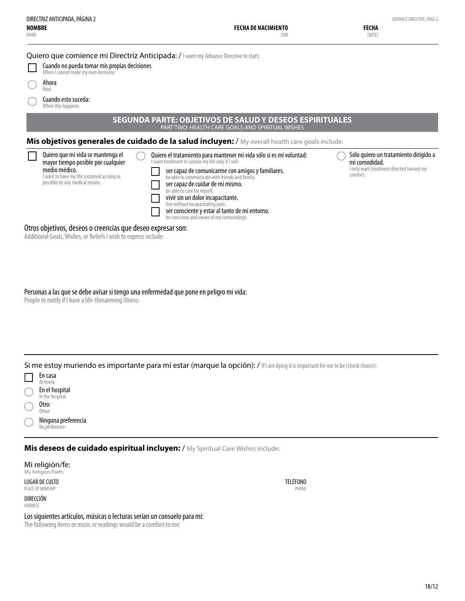| <b>NOMBRE</b><br>NAME | DIRECTRIZ ANTICIPADA, PÁGINA 2                                                                                                                                            | FECHA DE NACIMIENTO<br>DOB                                                                                                                                                                                                                                                                                                                                                                                                                                                      | ADVANCE DIRECTIVE, PAGE 2<br><b>FECHA</b><br>[DATE]                                                            |
|-----------------------|---------------------------------------------------------------------------------------------------------------------------------------------------------------------------|---------------------------------------------------------------------------------------------------------------------------------------------------------------------------------------------------------------------------------------------------------------------------------------------------------------------------------------------------------------------------------------------------------------------------------------------------------------------------------|----------------------------------------------------------------------------------------------------------------|
| Ahora<br>Now          | Cuando no pueda tomar mis propias decisiones<br>When I cannot make my own decisions<br>Cuando esto suceda:<br>When this happens:                                          | Quiero que comience mi Directriz Anticipada: / I want my Advance Directive to start:                                                                                                                                                                                                                                                                                                                                                                                            |                                                                                                                |
|                       |                                                                                                                                                                           | <b>SEGUNDA PARTE: OBJETIVOS DE SALUD Y DESEOS ESPIRITUALES</b><br>PART TWO: HEALTH CARE GOALS AND SPIRITUAL WISHES                                                                                                                                                                                                                                                                                                                                                              |                                                                                                                |
|                       |                                                                                                                                                                           | Mis objetivos generales de cuidado de la salud incluyen: / My overall health care goals include:                                                                                                                                                                                                                                                                                                                                                                                |                                                                                                                |
|                       | Quiero que mi vida se mantenga el<br>mayor tiempo posible por cualquier<br>medio médico.<br>I want to have my life sustained as long as<br>possible by any medical means. | Quiero el tratamiento para mantener mi vida sólo si es mi voluntad:<br>I want treatment to sustain my life only if I will:<br>ser capaz de comunicarme con amigos y familiares.<br>be able to communicate with friends and family.<br>ser capaz de cuidar de mí mismo.<br>be able to care for myself.<br>vivir sin un dolor incapacitante.<br>live without incapacitating pain.<br>ser consciente y estar al tanto de mi entorno.<br>be conscious and aware of my surroundings. | Sólo quiero un tratamiento dirigido a<br>mi comodidad.<br>I only want treatment directed toward my<br>comfort. |
|                       | Otros objetivos, deseos o creencias que deseo expresar son:<br>Additional Goals, Wishes, or Beliefs I wish to express include:                                            |                                                                                                                                                                                                                                                                                                                                                                                                                                                                                 |                                                                                                                |

Personas a las que se debe avisar si tengo una enfermedad que pone en peligro mi vida: People to notify if I have a life-threatening illness:

Si me estoy muriendo es importante para mí estar (marque la opción): / If I am dying it is important for me to be (check choice):



No preference

**Mis deseos de cuidado espiritual incluyen:** / My Spiritual Care Wishes include:

Mi religión/fe: My Religion/Faith:

LUGAR DE CULTO PLACE OF WORSHIP

DIRECCIÓN ADDRESS

Los siguientes artículos, músicas o lecturas serían un consuelo para mí:

The following items or music or readings would be a comfort to me:

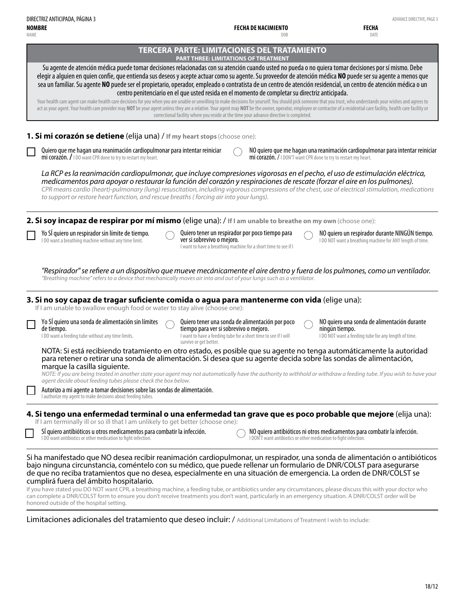**NOMBRE DIRECTRIZ ANTICIPADA, PÁGINA 3** ADVANCE DIRECTIVE, PAGE 3

**FECHA DE NACIMIENTO**

**FECHA**

| NOMBRE<br><b>NAME</b>                                                                                                                                                                                                                                                                                                                                                                                                                                                                                                                                                                                                                                                                                          | FECHA DE NACIMIENTO<br>DO <sub>B</sub>                                                                                                                                                 | FECHA<br>DATE                                                                                                                                                 |
|----------------------------------------------------------------------------------------------------------------------------------------------------------------------------------------------------------------------------------------------------------------------------------------------------------------------------------------------------------------------------------------------------------------------------------------------------------------------------------------------------------------------------------------------------------------------------------------------------------------------------------------------------------------------------------------------------------------|----------------------------------------------------------------------------------------------------------------------------------------------------------------------------------------|---------------------------------------------------------------------------------------------------------------------------------------------------------------|
|                                                                                                                                                                                                                                                                                                                                                                                                                                                                                                                                                                                                                                                                                                                | <b>TERCERA PARTE: LIMITACIONES DEL TRATAMIENTO</b><br><b>PART THREE: LIMITATIONS OF TREATMENT</b>                                                                                      |                                                                                                                                                               |
| Su agente de atención médica puede tomar decisiones relacionadas con su atención cuando usted no pueda o no quiera tomar decisiones por sí mismo. Debe<br>elegir a alguien en quien confíe, que entienda sus deseos y acepte actuar como su agente. Su proveedor de atención médica NO puede ser su agente a menos que<br>sea un familiar. Su agente NO puede ser el propietario, operador, empleado o contratista de un centro de atención residencial, un centro de atención médica o un<br>Your health care agent can make health care decisions for you when you are unable or unwilling to make decisions for yourself. You should pick someone that you trust, who understands your wishes and agrees to | centro penitenciario en el que usted resida en el momento de completar su directriz anticipada.                                                                                        |                                                                                                                                                               |
| act as your agent. Your health care provider may NOT be your agent unless they are a relative. Your agent may NOT be the owner, operator, employee or contractor of a residential care facility, health care facility or                                                                                                                                                                                                                                                                                                                                                                                                                                                                                       | correctional facility where you reside at the time your advance directive is completed.                                                                                                |                                                                                                                                                               |
| 1. Si mi corazón se detiene (elija una) / If my heart stops (choose one):                                                                                                                                                                                                                                                                                                                                                                                                                                                                                                                                                                                                                                      |                                                                                                                                                                                        |                                                                                                                                                               |
| Quiero que me hagan una reanimación cardiopulmonar para intentar reiniciar<br>mi corazón. / I DO want CPR done to try to restart my heart.                                                                                                                                                                                                                                                                                                                                                                                                                                                                                                                                                                     | mi corazón. / I DON'T want CPR done to try to restart my heart.                                                                                                                        | NO quiero que me hagan una reanimación cardiopulmonar para intentar reiniciar                                                                                 |
| La RCP es la reanimación cardiopulmonar, que incluye compresiones vigorosas en el pecho, el uso de estimulación eléctrica,<br>medicamentos para apoyar o restaurar la función del corazón y respiraciones de rescate (forzar el aire en los pulmones).<br>CPR means cardio (heart)-pulmonary (lung) resuscitation, including vigorous compressions of the chest, use of electrical stimulation, medications<br>to support or restore heart function, and rescue breaths (forcing air into your lungs).                                                                                                                                                                                                         |                                                                                                                                                                                        |                                                                                                                                                               |
| 2. Si soy incapaz de respirar por mí mismo (elige una): / If I am unable to breathe on my own (choose one):                                                                                                                                                                                                                                                                                                                                                                                                                                                                                                                                                                                                    |                                                                                                                                                                                        |                                                                                                                                                               |
| Yo SI quiero un respirador sin límite de tiempo.<br>I DO want a breathing machine without any time limit.                                                                                                                                                                                                                                                                                                                                                                                                                                                                                                                                                                                                      | Quiero tener un respirador por poco tiempo para<br>ver si sobrevivo o mejoro.<br>I want to have a breathing machine for a short time to see if I                                       | NO quiero un respirador durante NINGÚN tiempo.<br>I DO NOT want a breathing machine for ANY length of time.                                                   |
| "Respirador" se refiere a un dispositivo que mueve mecánicamente el aire dentro y fuera de los pulmones, como un ventilador.<br>"Breathing machine" refers to a device that mechanically moves air into and out of your lungs such as a ventilator.                                                                                                                                                                                                                                                                                                                                                                                                                                                            |                                                                                                                                                                                        |                                                                                                                                                               |
| 3. Si no soy capaz de tragar suficiente comida o agua para mantenerme con vida (elige una):<br>If I am unable to swallow enough food or water to stay alive (choose one):                                                                                                                                                                                                                                                                                                                                                                                                                                                                                                                                      |                                                                                                                                                                                        |                                                                                                                                                               |
| Yo SI quiero una sonda de alimentación sin límites<br>de tiempo.<br>I DO want a feeding tube without any time limits.                                                                                                                                                                                                                                                                                                                                                                                                                                                                                                                                                                                          | Quiero tener una sonda de alimentación por poco<br>tiempo para ver si sobrevivo o mejoro.<br>I want to have a feeding tube for a short time to see if I will<br>survive or get better. | NO quiero una sonda de alimentación durante<br>ningún tiempo.<br>I DO NOT want a feeding tube for any length of time.                                         |
| NOTA: Si está recibiendo tratamiento en otro estado, es posible que su agente no tenga automáticamente la autoridad<br>para retener o retirar una sonda de alimentación. Si desea que su agente decida sobre las sondas de alimentación,<br>marque la casilla siguiente.<br>NOTE: If you are being treated in another state your agent may not automatically have the authority to withhold or withdraw a feeding tube. If you wish to have your                                                                                                                                                                                                                                                               |                                                                                                                                                                                        |                                                                                                                                                               |
| agent decide about feeding tubes please check the box below.<br>Autorizo a mi agente a tomar decisiones sobre las sondas de alimentación.<br>I authorize my agent to make decisions about feeding tubes.                                                                                                                                                                                                                                                                                                                                                                                                                                                                                                       |                                                                                                                                                                                        |                                                                                                                                                               |
| 4. Si tengo una enfermedad terminal o una enfermedad tan grave que es poco probable que mejore (elija una):                                                                                                                                                                                                                                                                                                                                                                                                                                                                                                                                                                                                    |                                                                                                                                                                                        |                                                                                                                                                               |
| If I am terminally ill or so ill that I am unlikely to get better (choose one):<br>SÍ quiero antibióticos u otros medicamentos para combatir la infección.<br>I DO want antibiotics or other medication to fight infection.                                                                                                                                                                                                                                                                                                                                                                                                                                                                                    | I DON'T want antibiotics or other medication to fight infection.                                                                                                                       | NO quiero antibióticos ni otros medicamentos para combatir la infección.                                                                                      |
| Si ha manifestado que NO desea recibir reanimación cardiopulmonar, un respirador, una sonda de alimentación o antibióticos<br>bajo ninguna circunstancia, coméntelo con su médico, que puede rellenar un formulario de DNR/COLST para asegurarse<br>de que no reciba tratamientos que no desea, especialmente en una situación de emergencia. La orden de DNR/COLST se<br>cumplirá fuera del ámbito hospitalario.                                                                                                                                                                                                                                                                                              |                                                                                                                                                                                        | If you have stated you DO NOT want CPR, a breathing machine, a feeding tube, or antibiotics under any circumstances, please discuss this with your doctor who |

If you have stated you DO NOT want CPR, a breathing machine, a feeding tube, or antibiotics under any circumstances, please discuss this with your doctor who can complete a DNR/COLST form to ensure you don't receive treatments you don't want, particularly in an emergency situation. A DNR/COLST order will be honored outside of the hospital setting.

Limitaciones adicionales del tratamiento que deseo incluir: / Additional Limitations of Treatment I wish to include: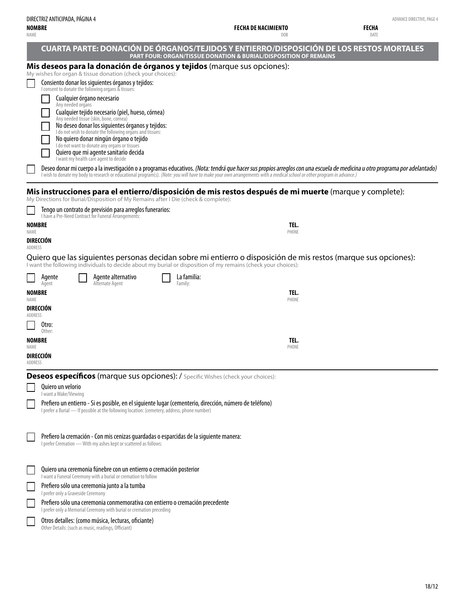| DIRECTRIZ ANTICIPADA, PÁGINA 4 |
|--------------------------------|
| <b>NOMBRE</b>                  |

#### NAME

**FECHA DE NACIMIENTO** DOB ADVANCE DIRECTIVE, PAGE 4

**FECHA** DATE

|             | <b>CUARTA PARTE: DONACIÓN DE ÓRGANOS/TEJIDOS Y ENTIERRO/DISPOSICIÓN DE LOS RESTOS MORTALES</b>                                                                                                                                                                                                                                                        |               |  |  |
|-------------|-------------------------------------------------------------------------------------------------------------------------------------------------------------------------------------------------------------------------------------------------------------------------------------------------------------------------------------------------------|---------------|--|--|
|             | <b>PART FOUR: ORGAN/TISSUE DONATION &amp; BURIAL/DISPOSITION OF REMAINS</b><br>Mis deseos para la donación de órganos y tejidos (marque sus opciones):                                                                                                                                                                                                |               |  |  |
|             | My wishes for organ & tissue donation (check your choices):<br>Consiento donar los siguientes órganos y tejidos:                                                                                                                                                                                                                                      |               |  |  |
|             | I consent to donate the following organs & tissues:<br>Cualquier órgano necesario                                                                                                                                                                                                                                                                     |               |  |  |
|             | Any needed organs<br>Cualquier tejido necesario (piel, hueso, córnea)                                                                                                                                                                                                                                                                                 |               |  |  |
|             | Any needed tissue (skin, bone, cornea)<br>No deseo donar los siguientes órganos y tejidos:                                                                                                                                                                                                                                                            |               |  |  |
|             | I do not wish to donate the following organs and tissues:<br>No quiero donar ningún órgano o tejido                                                                                                                                                                                                                                                   |               |  |  |
|             | I do not want to donate any organs or tissues<br>Quiero que mi agente sanitario decida<br>I want my health care agent to decide                                                                                                                                                                                                                       |               |  |  |
|             | Deseo donar mi cuerpo a la investigación o a programas educativos. (Nota: tendrá que hacer sus propios arreglos con una escuela de medicina u otro programa por adelantado)<br>I wish to donate my body to research or educational program(s). (Note: you will have to make your own arrangements with a medical school or other program in advance.) |               |  |  |
|             |                                                                                                                                                                                                                                                                                                                                                       |               |  |  |
|             | Mis instrucciones para el entierro/disposición de mis restos después de mi muerte (marque y complete):<br>My Directions for Burial/Disposition of My Remains after I Die (check & complete):                                                                                                                                                          |               |  |  |
|             | Tengo un contrato de previsión para arreglos funerarios:<br>I have a Pre-Need Contract for Funeral Arrangements:                                                                                                                                                                                                                                      |               |  |  |
| <b>NAME</b> | <b>NOMBRE</b>                                                                                                                                                                                                                                                                                                                                         | TEL.<br>PHONE |  |  |
| ADDRESS     | DIRECCIÓN                                                                                                                                                                                                                                                                                                                                             |               |  |  |
|             | Quiero que las siguientes personas decidan sobre mi entierro o disposición de mis restos (marque sus opciones):<br>I want the following individuals to decide about my burial or disposition of my remains (check your choices):                                                                                                                      |               |  |  |
|             | La familia:<br>Agente alternativo<br>Agente<br>Alternate Agent<br>Family:<br>Agent                                                                                                                                                                                                                                                                    |               |  |  |
| <b>NAME</b> | <b>NOMBRE</b>                                                                                                                                                                                                                                                                                                                                         | TEL.<br>PHONE |  |  |
| ADDRESS     | <b>DIRECCION</b>                                                                                                                                                                                                                                                                                                                                      |               |  |  |
|             | Otro:                                                                                                                                                                                                                                                                                                                                                 |               |  |  |
|             | Other:<br><b>NOMBRE</b>                                                                                                                                                                                                                                                                                                                               | TEL.          |  |  |
| NAME        | DIRECCIÓN                                                                                                                                                                                                                                                                                                                                             | PHONE         |  |  |
| ADDRESS     |                                                                                                                                                                                                                                                                                                                                                       |               |  |  |
|             | <b>Deseos específicos (marque sus opciones): / Specific Wishes (check your choices):</b><br>Quiero un velorio                                                                                                                                                                                                                                         |               |  |  |
|             | I want a Wake/Viewing<br>Prefiero un entierro - Si es posible, en el siguiente lugar (cementerio, dirección, número de teléfono)                                                                                                                                                                                                                      |               |  |  |
|             | I prefer a Burial - If possible at the following location: (cemetery, address, phone number)                                                                                                                                                                                                                                                          |               |  |  |
|             | Prefiero la cremación - Con mis cenizas guardadas o esparcidas de la siguiente manera:                                                                                                                                                                                                                                                                |               |  |  |
|             | I prefer Cremation - With my ashes kept or scattered as follows:                                                                                                                                                                                                                                                                                      |               |  |  |
|             | Quiero una ceremonia fúnebre con un entierro o cremación posterior                                                                                                                                                                                                                                                                                    |               |  |  |
|             | I want a Funeral Ceremony with a burial or cremation to follow                                                                                                                                                                                                                                                                                        |               |  |  |
|             | Prefiero sólo una ceremonia junto a la tumba<br>I prefer only a Graveside Ceremony                                                                                                                                                                                                                                                                    |               |  |  |
|             | Prefiero sólo una ceremonia conmemorativa con entierro o cremación precedente<br>I prefer only a Memorial Ceremony with burial or cremation preceding                                                                                                                                                                                                 |               |  |  |
|             | Otros detalles: (como música, lecturas, oficiante)<br>Other Details: (such as music, readings, Officiant)                                                                                                                                                                                                                                             |               |  |  |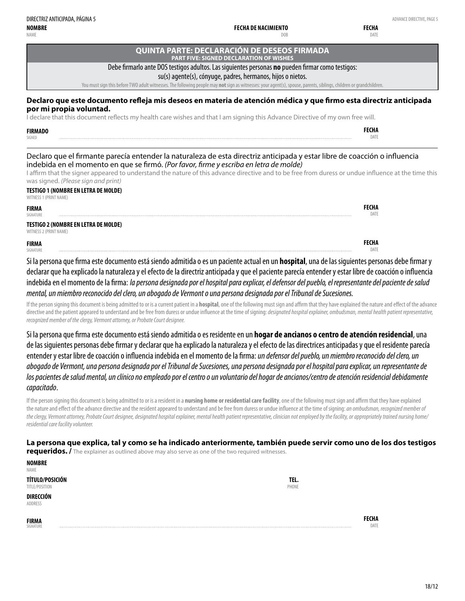**FIRMADO** SIGNED

#### **QUINTA PARTE: DECLARACIÓN DE DESEOS FIRMADA PART FIVE: SIGNED DECLARATION OF WISHES**

**FECHA DE NACIMIENTO**

DOB

#### Debe firmarlo ante DOS testigos adultos. Las siguientes personas **no** pueden firmar como testigos:

#### su(s) agente(s), cónyuge, padres, hermanos, hijos o nietos.

You must sign this before TWO adult witnesses. The following people may **not** sign as witnesses: your agent(s), spouse, parents, siblings, children or grandchildren.

#### **Declaro que este documento refleja mis deseos en materia de atención médica y que firmo esta directriz anticipada por mi propia voluntad.**

I declare that this document reflects my health care wishes and that I am signing this Advance Directive of my own free will.

#### Declaro que el firmante parecía entender la naturaleza de esta directriz anticipada y estar libre de coacción o influencia indebida en el momento en que se firmó. *(Por favor, firme y escriba en letra de molde)*

I affirm that the signer appeared to understand the nature of this advance directive and to be free from duress or undue influence at the time this was signed. *(Please sign and print)*

#### **TESTIGO 1 (NOMBRE EN LETRA DE MOLDE)** WITNESS 1 (PRINT NAME)

| <b>FIRMA</b><br>SIGNATURE        |                                      |
|----------------------------------|--------------------------------------|
| WITNESS 2 (PRINT NAME)           | TESTIGO 2 (NOMBRE EN LETRA DE MOLDE) |
| <b>FIRMA</b><br><b>SIGNATURE</b> |                                      |

Si la persona que firma este documento está siendo admitida o es un paciente actual en un **hospital**, una de las siguientes personas debe firmar y declarar que ha explicado la naturaleza y el efecto de la directriz anticipada y que el paciente parecía entender y estar libre de coacción o influencia indebida en el momento de la firma: *la persona designada por el hospital para explicar, el defensor del pueblo, el representante del paciente de salud mental, un miembro reconocido del clero, un abogado de Vermont o una persona designada por el Tribunal de Sucesiones.*

If the person signing this document is being admitted to or is a current patient in a **hospital**, one of the following must sign and affirm that they have explained the nature and effect of the advance directive and the patient appeared to understand and be free from duress or undue influence at the time of signing: *designated hospital explainer, ombudsman, mental health patient representative, recognized member of the clergy, Vermont attorney, or Probate Court designee.*

Si la persona que firma este documento está siendo admitida o es residente en un **hogar de ancianos o centro de atención residencial**, una de las siguientes personas debe firmar y declarar que ha explicado la naturaleza y el efecto de las directrices anticipadas y que el residente parecía entender y estar libre de coacción o influencia indebida en el momento de la firma:*un defensor del pueblo, un miembro reconocido del clero, un abogado de Vermont, una persona designada por el Tribunal de Sucesiones, una persona designada por el hospital para explicar, un representante de los pacientes de salud mental, un clínico no empleado por el centro o un voluntario del hogar de ancianos/centro de atención residencial debidamente capacitado*.

If the person signing this document is being admitted to or is a resident in a **nursing home or residential care facility**, one of the following must sign and affirm that they have explained the nature and effect of the advance directive and the resident appeared to understand and be free from duress or undue influence at the time of signing: *an ombudsman, recognized member of the clergy, Vermont attorney, Probate Court designee, designated hospital explainer, mental health patient representative, clinician not employed by the facility, or appropriately trained nursing home/ residential care facility volunteer.*

**La persona que explica, tal y como se ha indicado anteriormente, también puede servir como uno de los dos testigos requeridos. /** The explainer as outlined above may also serve as one of the two required witnesses.

| <b>NOMBRE</b><br><b>NAME</b>      |               |
|-----------------------------------|---------------|
| TÍTULO/POSICIÓN<br>TITLE/POSITION | TEL.<br>PHONE |
| DIRECCIÓN<br>ADDRESS              |               |

**FIRMA** SIGNATURE

**FECHA** DATE

> **FECHA DATE**

> **FECHA** DATE

> **FECHA** DATE

**FECHA DATE**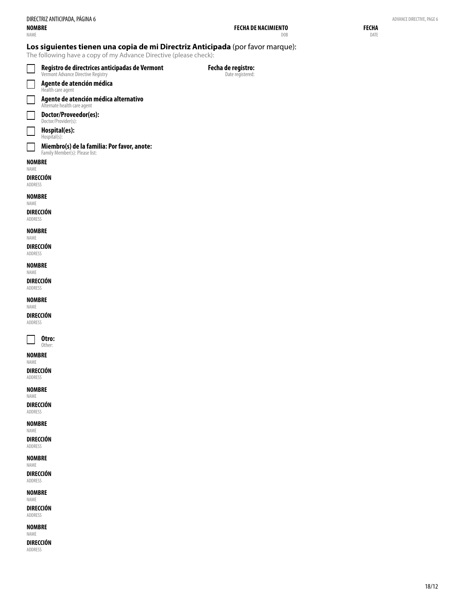**FECHA** DATE

#### **Los siguientes tienen una copia de mi Directriz Anticipada** (por favor marque):

The following have a copy of my Advance Directive (please check):

|                             | Registro de directrices anticipadas de Vermont<br>Vermont Advance Directive Registry | Fecha de registro:<br>Date registered: |  |
|-----------------------------|--------------------------------------------------------------------------------------|----------------------------------------|--|
|                             | Agente de atención médica<br>Health care agent                                       |                                        |  |
| $\Box$                      | Agente de atención médica alternativo<br>Alternate health care agent                 |                                        |  |
|                             | Doctor/Proveedor(es):<br>Doctor/Provider(s):                                         |                                        |  |
|                             | Hospital(es):<br>Hospital(s):                                                        |                                        |  |
|                             | Miembro(s) de la familia: Por favor, anote:<br>Family Member(s): Please list:        |                                        |  |
| <b>NOMBRE</b><br>NAME       |                                                                                      |                                        |  |
| DIRECCIÓN<br>ADDRESS        |                                                                                      |                                        |  |
| <b>NOMBRE</b><br>NAME       |                                                                                      |                                        |  |
| DIRECCIÓN<br>ADDRESS        |                                                                                      |                                        |  |
| <b>NOMBRE</b><br>NAME       |                                                                                      |                                        |  |
| DIRECCIÓN<br>ADDRESS        |                                                                                      |                                        |  |
| <b>NOMBRE</b><br>NAME       |                                                                                      |                                        |  |
| <b>DIRECCIÓN</b><br>ADDRESS |                                                                                      |                                        |  |
| <b>NOMBRE</b><br>NAME       |                                                                                      |                                        |  |
| DIRECCIÓN<br>ADDRESS        |                                                                                      |                                        |  |
|                             | Otro:<br>Other:                                                                      |                                        |  |
| <b>NOMBRE</b><br>NAME       |                                                                                      |                                        |  |
| DIRECCIÓN<br>ADDRESS        |                                                                                      |                                        |  |
| <b>NOMBRE</b><br>NAME       |                                                                                      |                                        |  |
| DIRECCIÓN<br>ADDRESS        |                                                                                      |                                        |  |
| <b>NOMBRE</b><br>NAME       |                                                                                      |                                        |  |
| <b>DIRECCIÓN</b><br>ADDRESS |                                                                                      |                                        |  |
| <b>NOMBRE</b><br>NAME       |                                                                                      |                                        |  |
| <b>DIRECCIÓN</b><br>ADDRESS |                                                                                      |                                        |  |
| <b>NOMBRE</b><br>NAME       |                                                                                      |                                        |  |

**DIRECCIÓN** ADDRESS

**NOMBRE** NAME

**DIRECCIÓN** ADDRESS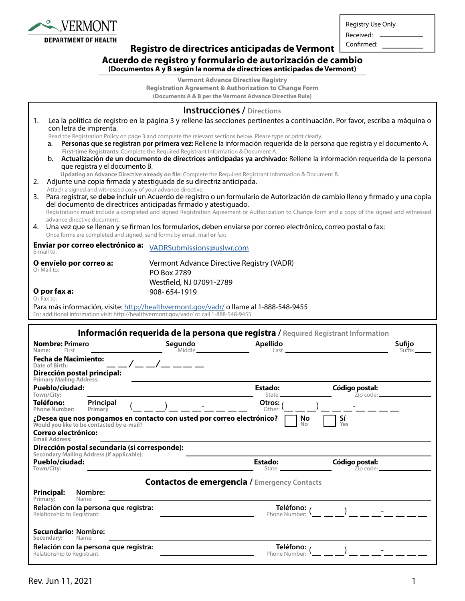

Г

Registry Use Only

Received: Confirmed:

### **Registro de directrices anticipadas de Vermont**

#### **Acuerdo de registro y formulario de autorización de cambio**

**(Documentos A y B según la norma de directrices anticipadas de Vermont)**

**Vermont Advance Directive Registry Registration Agreement & Authorization to Change Form**

**(Documents A & B per the Vermont Advance Directive Rule)**

| <b>Instrucciones / Directions</b>                                                                                                                                                           |                                                                                                                                                                                                                                            |                            |                                                                                                                                                 |  |  |
|---------------------------------------------------------------------------------------------------------------------------------------------------------------------------------------------|--------------------------------------------------------------------------------------------------------------------------------------------------------------------------------------------------------------------------------------------|----------------------------|-------------------------------------------------------------------------------------------------------------------------------------------------|--|--|
| Lea la política de registro en la página 3 y rellene las secciones pertinentes a continuación. Por favor, escriba a máquina o<br>1.<br>con letra de imprenta.                               |                                                                                                                                                                                                                                            |                            |                                                                                                                                                 |  |  |
| a.                                                                                                                                                                                          | Read the Registration Policy on page 3 and complete the relevant sections below. Please type or print clearly.<br>Personas que se registran por primera vez: Rellene la información requerida de la persona que registra y el documento A. |                            |                                                                                                                                                 |  |  |
| b.                                                                                                                                                                                          | First-time Registrants: Complete the Required Registrant Information & Document A.                                                                                                                                                         |                            | Actualización de un documento de directrices anticipadas ya archivado: Rellene la información requerida de la persona                           |  |  |
| que registra y el documento B.                                                                                                                                                              |                                                                                                                                                                                                                                            |                            |                                                                                                                                                 |  |  |
| 2.                                                                                                                                                                                          | Updating an Advance Directive already on file: Complete the Required Registrant Information & Document B.<br>Adjunte una copia firmada y atestiguada de su directriz anticipada.                                                           |                            |                                                                                                                                                 |  |  |
| Attach a signed and witnessed copy of your advance directive.                                                                                                                               |                                                                                                                                                                                                                                            |                            |                                                                                                                                                 |  |  |
|                                                                                                                                                                                             | del documento de directrices anticipadas firmado y atestiguado.                                                                                                                                                                            |                            | 3. Para registrar, se debe incluir un Acuerdo de registro o un formulario de Autorización de cambio lleno y firmado y una copia                 |  |  |
| advance directive document.                                                                                                                                                                 |                                                                                                                                                                                                                                            |                            | Registrations must include a completed and signed Registration Agreement or Authorization to Change form and a copy of the signed and witnessed |  |  |
| 4. Una vez que se llenan y se firman los formularios, deben enviarse por correo electrónico, correo postal o fax:<br>Once forms are completed and signed, send forms by email, mail or fax: |                                                                                                                                                                                                                                            |                            |                                                                                                                                                 |  |  |
| Enviar por correo electrónico a:<br>E-mail to:                                                                                                                                              | VADRSubmissions@uslwr.com                                                                                                                                                                                                                  |                            |                                                                                                                                                 |  |  |
| O envíelo por correo a:<br>Or Mail to:                                                                                                                                                      | Vermont Advance Directive Registry (VADR)                                                                                                                                                                                                  |                            |                                                                                                                                                 |  |  |
|                                                                                                                                                                                             | PO Box 2789<br>Westfield, NJ 07091-2789                                                                                                                                                                                                    |                            |                                                                                                                                                 |  |  |
| O por fax a:                                                                                                                                                                                | 908-654-1919                                                                                                                                                                                                                               |                            |                                                                                                                                                 |  |  |
| Or Fax to:                                                                                                                                                                                  |                                                                                                                                                                                                                                            |                            |                                                                                                                                                 |  |  |
| Para más información, visite: http://healthvermont.gov/vadr/ollame al 1-888-548-9455<br>For additional information visit: http://healthvermont.gov/vadr/ or call 1-888-548-9455             |                                                                                                                                                                                                                                            |                            |                                                                                                                                                 |  |  |
|                                                                                                                                                                                             |                                                                                                                                                                                                                                            |                            |                                                                                                                                                 |  |  |
| Información requerida de la persona que registra / Required Registrant Information<br><b>Nombre: Primero</b><br>Segundo<br>Apellido<br>Sufijo                                               |                                                                                                                                                                                                                                            |                            |                                                                                                                                                 |  |  |
|                                                                                                                                                                                             |                                                                                                                                                                                                                                            |                            |                                                                                                                                                 |  |  |
| Name:<br>First<br><b>Fecha de Nacimiento:</b>                                                                                                                                               | Middle __                                                                                                                                                                                                                                  | Last                       | Suffix                                                                                                                                          |  |  |
| Date of Birth:                                                                                                                                                                              |                                                                                                                                                                                                                                            |                            |                                                                                                                                                 |  |  |
| <b>Dirección postal principal:</b><br>Primary Mailing Address:<br>Pueblo/ciudad:                                                                                                            |                                                                                                                                                                                                                                            | <b>Estado:</b>             | Código postal:                                                                                                                                  |  |  |
| Town/City:                                                                                                                                                                                  |                                                                                                                                                                                                                                            | State:                     | Zip code:                                                                                                                                       |  |  |
| Teléfono:<br>Principal<br>Primary<br><b>Phone Number:</b>                                                                                                                                   |                                                                                                                                                                                                                                            | Otros:<br>Other:           |                                                                                                                                                 |  |  |
| ¿Desea que nos pongamos en contacto con usted por correo electrónico?<br>Would you like to be contacted by e-mail?                                                                          |                                                                                                                                                                                                                                            | No<br>No                   | Sí<br>Yes                                                                                                                                       |  |  |
| <b>Correo electrónico:</b>                                                                                                                                                                  |                                                                                                                                                                                                                                            |                            |                                                                                                                                                 |  |  |
| <b>Email Address:</b><br>Dirección postal secundaria (si corresponde):                                                                                                                      |                                                                                                                                                                                                                                            |                            |                                                                                                                                                 |  |  |
| Secondary Mailing Address (if applicable):<br>Pueblo/ciudad:                                                                                                                                |                                                                                                                                                                                                                                            | <b>Estado:</b>             | Código postal:                                                                                                                                  |  |  |
| Town/City:                                                                                                                                                                                  |                                                                                                                                                                                                                                            | State:                     | $\overline{z}$ ip code: $\_\_$                                                                                                                  |  |  |
|                                                                                                                                                                                             | <b>Contactos de emergencia / Emergency Contacts</b>                                                                                                                                                                                        |                            |                                                                                                                                                 |  |  |
| <b>Principal:</b><br>Nombre:<br>Primary:<br>Name:                                                                                                                                           |                                                                                                                                                                                                                                            |                            |                                                                                                                                                 |  |  |
| Relación con la persona que registra:                                                                                                                                                       |                                                                                                                                                                                                                                            | Teléfono: /                |                                                                                                                                                 |  |  |
| Relationship to Registrant:                                                                                                                                                                 |                                                                                                                                                                                                                                            | Phone Number:              |                                                                                                                                                 |  |  |
| <b>Secundario: Nombre:</b><br>Secondary:<br>Name:                                                                                                                                           |                                                                                                                                                                                                                                            |                            |                                                                                                                                                 |  |  |
| Relación con la persona que registra:<br>Relationship to Registrant:                                                                                                                        |                                                                                                                                                                                                                                            | Teléfono:<br>Phone Number: |                                                                                                                                                 |  |  |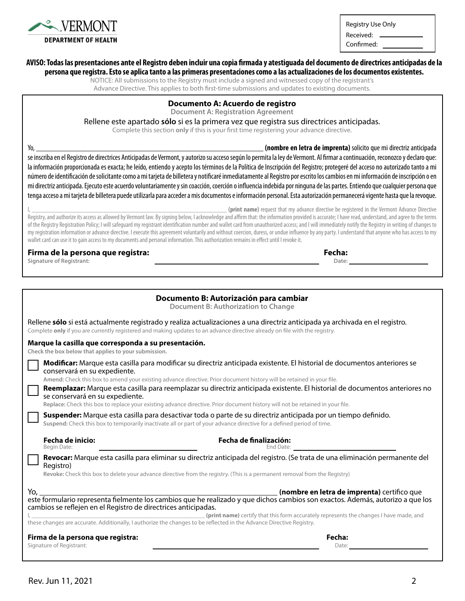

Registry Use Only

Received: Confirmed:

#### **AVISO: Todas las presentaciones ante el Registro deben incluir una copia firmada y atestiguada del documento de directrices anticipadas de la**

**persona que registra. Esto se aplica tanto a las primeras presentaciones como a las actualizaciones de los documentos existentes.**

NOTICE: All submissions to the Registry must include a signed and witnessed copy of the registrant's Advance Directive. This applies to both first-time submissions and updates to existing documents.

#### **Documento A: Acuerdo de registro**

**Document A: Registration Agreement**

Rellene este apartado **sólo** si es la primera vez que registra sus directrices anticipadas.

Complete this section **only** if this is your first time registering your advance directive.

Yo, \_\_\_\_\_\_\_\_\_\_\_\_\_\_\_\_\_\_\_\_\_\_\_\_\_\_\_\_\_\_\_\_\_\_\_\_\_\_\_\_\_\_\_\_\_\_\_\_\_\_\_\_\_\_\_\_\_ **(nombre en letra de imprenta)** solicito que mi directriz anticipada se inscriba en el Registro de directrices Anticipadas de Vermont, y autorizo su acceso según lo permita la ley de Vermont. Al firmar a continuación, reconozco y declaro que: la información proporcionada es exacta; he leído, entiendo y acepto los términos de la Política de Inscripción del Registro; protegeré del acceso no autorizado tanto a mi número de identificación de solicitante como a mi tarjeta de billetera y notificaré inmediatamente al Registro por escrito los cambios en mi información de inscripción o en mi directriz anticipada. Ejecuto este acuerdo voluntariamente y sin coacción, coerción o influencia indebida por ninguna de las partes. Entiendo que cualquier persona que tenga acceso a mi tarjeta de billetera puede utilizarla para acceder a mis documentos e información personal. Esta autorización permanecerá vigente hasta que la revoque.

(print name) request that my advance directive be registered in the Vermont Advance Directive Registry, and authorize its access as allowed by Vermont law. By signing below, I acknowledge and affirm that: the information provided is accurate; I have read, understand, and agree to the terms of the Registry Registration Policy; I will safeguard my registrant identification number and wallet card from unauthorized access; and I will immediately notify the Registry in writing of changes to my registration information or advance directive. I execute this agreement voluntarily and without coercion, duress, or undue influence by any party. I understand that anyone who has access to my wallet card can use it to gain access to my documents and personal information. This authorization remains in effect until I revoke it.

#### **Firma de la persona que registra:**

**Fecha: Date:**

**Signature of Registrant:**

|                                                                                                                                                                                                                                                                         | Documento B: Autorización para cambiar<br><b>Document B: Authorization to Change</b>                                                                                                                                                                     |  |  |
|-------------------------------------------------------------------------------------------------------------------------------------------------------------------------------------------------------------------------------------------------------------------------|----------------------------------------------------------------------------------------------------------------------------------------------------------------------------------------------------------------------------------------------------------|--|--|
| Rellene sólo si está actualmente registrado y realiza actualizaciones a una directriz anticipada ya archivada en el registro.<br>Complete only if you are currently registered and making updates to an advance directive already on file with the registry.            |                                                                                                                                                                                                                                                          |  |  |
| Marque la casilla que corresponda a su presentación.<br>Check the box below that applies to your submission.                                                                                                                                                            |                                                                                                                                                                                                                                                          |  |  |
| conservará en su expediente.<br>Amend: Check this box to amend your existing advance directive. Prior document history will be retained in your file.<br>se conservará en su expediente.                                                                                | Modificar: Marque esta casilla para modificar su directriz anticipada existente. El historial de documentos anteriores se<br>Reemplazar: Marque esta casilla para reemplazar su directriz anticipada existente. El historial de documentos anteriores no |  |  |
| Replace: Check this box to replace your existing advance directive. Prior document history will not be retained in your file.                                                                                                                                           |                                                                                                                                                                                                                                                          |  |  |
| Suspender: Marque esta casilla para desactivar toda o parte de su directriz anticipada por un tiempo definido.<br>Suspend: Check this box to temporarily inactivate all or part of your advance directive for a defined period of time.                                 |                                                                                                                                                                                                                                                          |  |  |
| <b>Fecha de inicio:</b><br>Begin Date:                                                                                                                                                                                                                                  | Fecha de finalización:<br>End Date: The Contract of the Contract of the Contract of the Contract of the Contract of the Contract of the Contract of the Contract of the Contract of the Contract of the Contract of the Contract of the Contract of the  |  |  |
| Revocar: Marque esta casilla para eliminar su directriz anticipada del registro. (Se trata de una eliminación permanente del<br>Registro)<br>Revoke: Check this box to delete your advance directive from the registry. (This is a permanent removal from the Registry) |                                                                                                                                                                                                                                                          |  |  |
| Yo,<br>cambios se reflejen en el Registro de directrices anticipadas.<br>these changes are accurate. Additionally, I authorize the changes to be reflected in the Advance Directive Registry.                                                                           | (nombre en letra de imprenta) certifico que<br>(print name) certify that this form accurately represents the changes I have made, and                                                                                                                    |  |  |
| Firma de la persona que registra:                                                                                                                                                                                                                                       | Fecha:                                                                                                                                                                                                                                                   |  |  |
| Signature of Registrant:                                                                                                                                                                                                                                                | Date:                                                                                                                                                                                                                                                    |  |  |